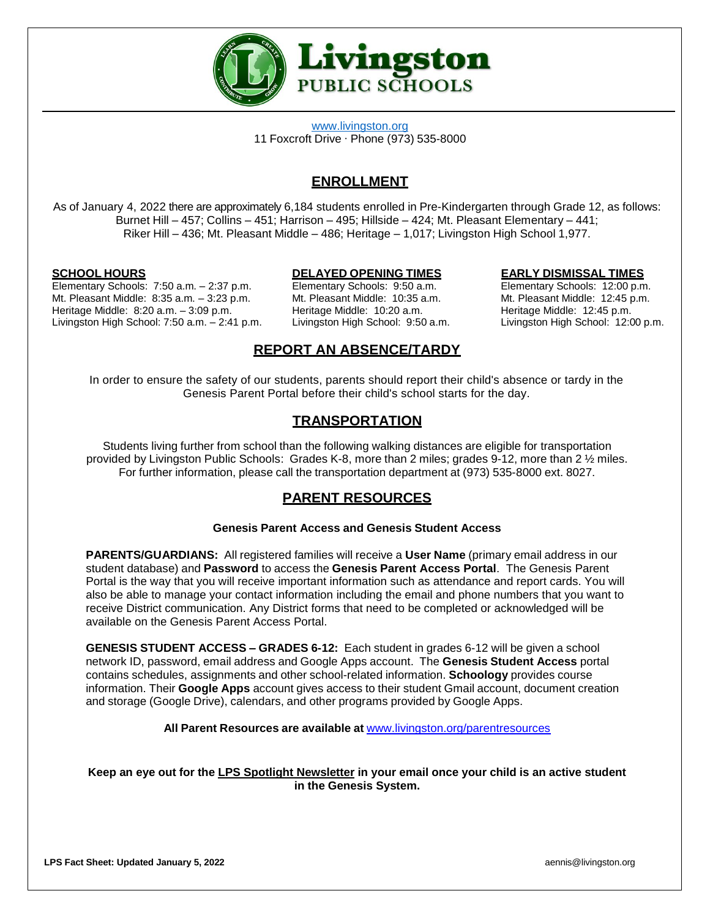

[www.livingston.org](http://www.livingston.org/) 11 Foxcroft Drive ∙ Phone (973) 535-8000

# **ENROLLMENT**

As of January 4, 2022 there are approximately 6,184 students enrolled in Pre-Kindergarten through Grade 12, as follows: Burnet Hill – 457; Collins – 451; Harrison – 495; Hillside – 424; Mt. Pleasant Elementary – 441; Riker Hill – 436; Mt. Pleasant Middle – 486; Heritage – 1,017; Livingston High School 1,977.

Elementary Schools: 7:50 a.m. - 2:37 p.m. Mt. Pleasant Middle: 8:35 a.m. – 3:23 p.m. Mt. Pleasant Middle: 10:35 a.m. Mt. Pleasant Middle: 12:45 p.m. Heritage Middle: 8:20 a.m. - 3:09 p.m. 
<br>
Heritage Middle: 12:45 p.m.
(Butleritage Middle: 10:20 a.m.
(Ann Sterlinge Middle: 12:45 p.m.
(Ann Sterlinge Middle: 12:45 p.m.
(Ann Sterlinge Middle: 12:45 p.m.
(Ann Sterlinge Mid Livingston High School: 7:50 a.m. – 2:41 p.m. Livingston High School: 9:50 a.m. Livingston High School: 12:00 p.m.

**SCHOOL HOURS**<br> **DELAYED OPENING TIMES**<br> **Elementary Schools: 12:00 p.m.**<br> **Elementary Schools: 12:00 p.m.**<br> **Elementary Schools: 12:00 p.m.** 

# **REPORT AN ABSENCE/TARDY**

In order to ensure the safety of our students, parents should report their child's absence or tardy in the Genesis Parent Portal before their child's school starts for the day.

# **TRANSPORTATION**

Students living further from school than the following walking distances are eligible for transportation provided by Livingston Public Schools: Grades K-8, more than 2 miles; grades 9-12, more than 2 ½ miles. For further information, please call the transportation department at (973) 535-8000 ext. 8027.

## **PARENT RESOURCES**

### **Genesis Parent Access and Genesis Student Access**

**PARENTS/GUARDIANS:** All registered families will receive a **User Name** (primary email address in our student database) and **Password** to access the **Genesis Parent Access Portal**. The Genesis Parent Portal is the way that you will receive important information such as attendance and report cards. You will also be able to manage your contact information including the email and phone numbers that you want to receive District communication. Any District forms that need to be completed or acknowledged will be available on the Genesis Parent Access Portal.

**GENESIS STUDENT ACCESS – GRADES 6-12:** Each student in grades 6-12 will be given a school network ID, password, email address and Google Apps account. The **Genesis Student Access** portal contains schedules, assignments and other school-related information. **Schoology** provides course information. Their **Google Apps** account gives access to their student Gmail account, document creation and storage (Google Drive), calendars, and other programs provided by Google Apps.

**All Parent Resources are available at** [www.livingston.org/parentresources](http://www.livingston.org/parentresources)

## **Keep an eye out for the LPS Spotlight Newsletter in your email once your child is an active student in the Genesis System.**

**LPS** Fact Sheet: Updated January 5, 2022 **a**ennis@livingston.org